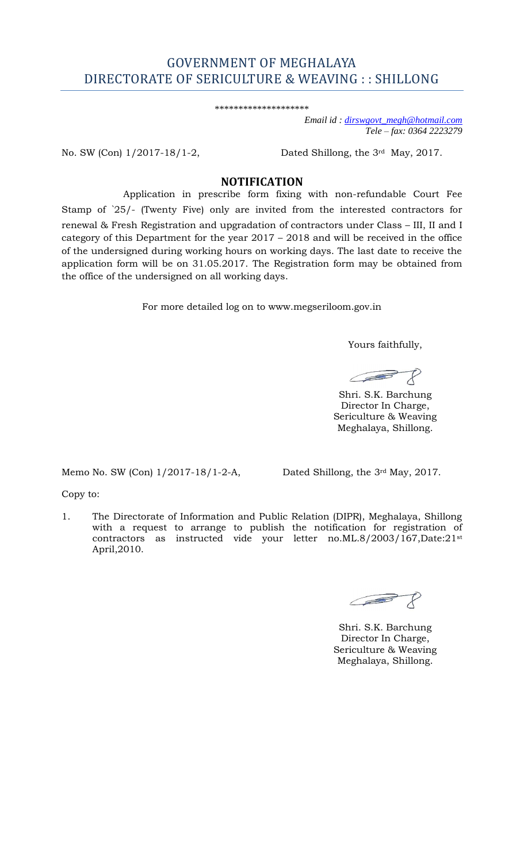# GOVERNMENT OF MEGHALAYA DIRECTORATE OF SERICULTURE & WEAVING : : SHILLONG

\*\*\*\*\*\*\*\*\*\*\*\*\*\*\*\*\*\*\*\*

 *Email id : [dirswgovt\\_megh@hotmail.com](mailto:dirswgovt_megh@hotmail.com)  Tele – fax: 0364 2223279* 

No. SW (Con) 1/2017-18/1-2,

Dated Shillong, the 3rd May, 2017.

# **NOTIFICATION**

Application in prescribe form fixing with non-refundable Court Fee

 Stamp of `25/- (Twenty Five) only are invited from the interested contractors for renewal & Fresh Registration and upgradation of contractors under Class – III, II and I category of this Department for the year 2017 – 2018 and will be received in the office of the undersigned during working hours on working days. The last date to receive the application form will be on 31.05.2017. The Registration form may be obtained from the office of the undersigned on all working days.

For more detailed log on to www.megseriloom.gov.in

Yours faithfully,

 $\sqrt{2}$ 

 Shri. S.K. Barchung Director In Charge, Sericulture & Weaving Meghalaya, Shillong.

Memo No. SW (Con)  $1/2017$ -18/1-2-A, Dated Shillong, the  $3<sup>rd</sup>$  May, 2017.

Copy to:

 1. The Directorate of Information and Public Relation (DIPR), Meghalaya, Shillong with a request to arrange to publish the notification for registration of contractors as instructed vide your letter no.ML.8/2003/167,Date:21st April,2010.

 $\mathcal{F}$ **SEPTEMBER** 

 Shri. S.K. Barchung Director In Charge, Sericulture & Weaving Meghalaya, Shillong.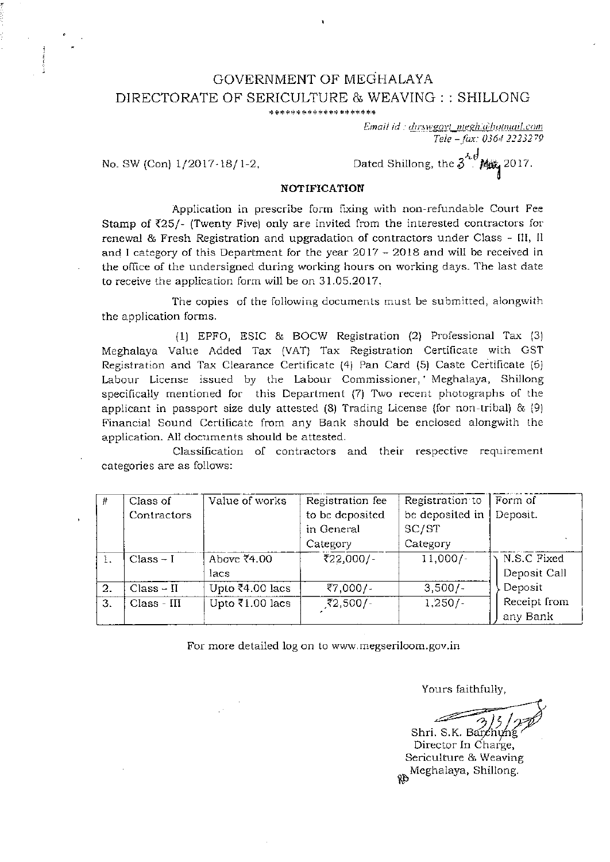### GOVERNMENT OF MEGHALAYA DIRECTORATE OF SERICULTURE & WEAVING :: SHILLONG \*\*\*\*\*\*\*\*\*\*\*\*\*\*\*\*\*\*\*

Email id : dirswgovt\_megh.a\hotmail.com Tele - fax: 0364 2223279

No. SW (Con) 1/2017-18/1-2,

Dated Shillong, the  $3^{3.6}$  Mix, 2017.

#### **NOTIFICATION**

Application in prescribe form fixing with non-refundable Court Fee Stamp of ₹25/- (Twenty Five) only are invited from the interested contractors for renewal & Fresh Registration and upgradation of contractors under Class - III, II and I category of this Department for the year 2017 - 2018 and will be received in the office of the undersigned during working hours on working days. The last date to receive the application form will be on 31.05.2017.

The copies of the following documents must be submitted, alongwith the application forms.

(1) EPFO, ESIC & BOCW Registration (2) Professional Tax (3) Meghalaya Value Added Tax (VAT) Tax Registration Certificate with GST Registration and Tax Clearance Certificate (4) Pan Card (5) Caste Certificate (6) Labour License issued by the Labour Commissioner, Meghalaya, Shillong specifically mentioned for this Department (7) Two recent photographs of the applicant in passport size duly attested  $(8)$  Trading License (for non-tribal) &  $(9)$ Financial Sound Certificate from any Bank should be enclosed alongwith the application. All documents should be attested.

Classification of contractors and their respective requirement categories are as follows:

| 쀼                | Class of     | Value of works               | Registration fee | Registration to | Form of      |
|------------------|--------------|------------------------------|------------------|-----------------|--------------|
|                  | Contractors  |                              | to be deposited  | be deposited in | Deposit.     |
|                  |              |                              | in General       | SC/ST           |              |
|                  |              |                              | Category         | Category        |              |
|                  | $Class - I$  | Above ₹4.00                  | ₹22,000/-        | $11,000/-$      | N.S.C Fixed  |
|                  |              | lacs                         |                  |                 | Deposit Call |
| 2.               | $Class - II$ | Upto $\overline{5}4.00$ lacs | ₹7,000/-         | $3,500/-$       | Deposit      |
| $\overline{3}$ . | Class - III  | Upto $\bar{x}$ 1.00 lacs     | ₹2,500/-         | $1,250/-$       | Receipt from |
|                  |              |                              |                  |                 | any Bank     |

For more detailed log on to www.megseriloom.gov.in

Yours faithfully,

Shri. S.K. Barchung

Director In Charge, Sericulture & Weaving Rb Meghalaya, Shillong.